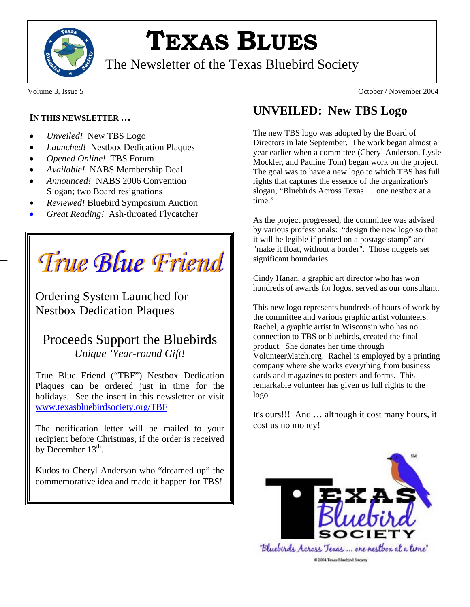

# **TEXAS BLUES**

The Newsletter of the Texas Bluebird Society

#### **IN THIS NEWSLETTER …**

- *Unveiled!* New TBS Logo
- *Launched!* Nestbox Dedication Plaques
- *Opened Online!* TBS Forum
- *Available!* NABS Membership Deal
- *Announced!* NABS 2006 Convention Slogan; two Board resignations
- *Reviewed!* Bluebird Symposium Auction
- *Great Reading!* Ash-throated Flycatcher

True Blue Friend

Ordering System Launched for Nestbox Dedication Plaques

## Proceeds Support the Bluebirds *Unique 'Year-round Gift!*

True Blue Friend ("TBF") Nestbox Dedication Plaques can be ordered just in time for the holidays. See the insert in this newsletter or visit www.texasbluebirdsociety.org/TBF

The notification letter will be mailed to your recipient before Christmas, if the order is received by December  $13<sup>th</sup>$ .

Kudos to Cheryl Anderson who "dreamed up" the commemorative idea and made it happen for TBS!

Volume 3, Issue 5 October / November 2004

# **UNVEILED: New TBS Logo**

The new TBS logo was adopted by the Board of Directors in late September. The work began almost a year earlier when a committee (Cheryl Anderson, Lysle Mockler, and Pauline Tom) began work on the project. The goal was to have a new logo to which TBS has full rights that captures the essence of the organization's slogan, "Bluebirds Across Texas … one nestbox at a time."

As the project progressed, the committee was advised by various professionals: "design the new logo so that it will be legible if printed on a postage stamp" and "make it float, without a border". Those nuggets set significant boundaries.

Cindy Hanan, a graphic art director who has won hundreds of awards for logos, served as our consultant.

This new logo represents hundreds of hours of work by the committee and various graphic artist volunteers. Rachel, a graphic artist in Wisconsin who has no connection to TBS or bluebirds, created the final product. She donates her time through VolunteerMatch.org. Rachel is employed by a printing company where she works everything from business cards and magazines to posters and forms. This remarkable volunteer has given us full rights to the logo.

It's ours!!! And … although it cost many hours, it cost us no money!



@ 2004 Texas Bluebird Society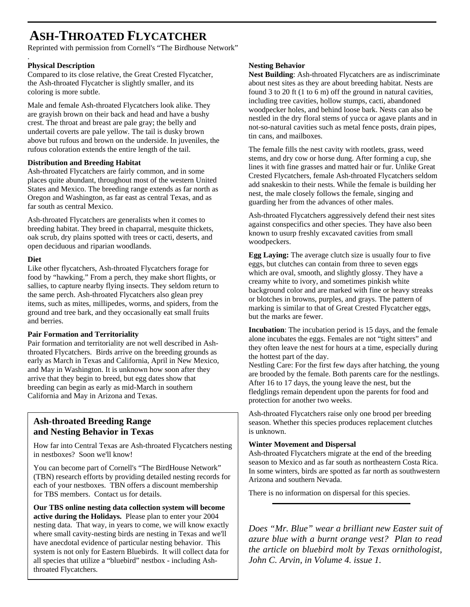# **ASH-THROATED FLYCATCHER**

Reprinted with permission from Cornell's "The Birdhouse Network"

#### **Physical Description**

.

Compared to its close relative, the Great Crested Flycatcher, the Ash-throated Flycatcher is slightly smaller, and its coloring is more subtle.

Male and female Ash-throated Flycatchers look alike. They are grayish brown on their back and head and have a bushy crest. The throat and breast are pale gray; the belly and undertail coverts are pale yellow. The tail is dusky brown above but rufous and brown on the underside. In juveniles, the rufous coloration extends the entire length of the tail.

#### **Distribution and Breeding Habitat**

Ash-throated Flycatchers are fairly common, and in some places quite abundant, throughout most of the western United States and Mexico. The breeding range extends as far north as Oregon and Washington, as far east as central Texas, and as far south as central Mexico.

Ash-throated Flycatchers are generalists when it comes to breeding habitat. They breed in chaparral, mesquite thickets, oak scrub, dry plains spotted with trees or cacti, deserts, and open deciduous and riparian woodlands.

#### **Diet**

Like other flycatchers, Ash-throated Flycatchers forage for food by "hawking." From a perch, they make short flights, or sallies, to capture nearby flying insects. They seldom return to the same perch. Ash-throated Flycatchers also glean prey items, such as mites, millipedes, worms, and spiders, from the ground and tree bark, and they occasionally eat small fruits and berries.

#### **Pair Formation and Territoriality**

Pair formation and territoriality are not well described in Ashthroated Flycatchers. Birds arrive on the breeding grounds as early as March in Texas and California, April in New Mexico, and May in Washington. It is unknown how soon after they arrive that they begin to breed, but egg dates show that breeding can begin as early as mid-March in southern California and May in Arizona and Texas.

### **Ash-throated Breeding Range and Nesting Behavior in Texas**

How far into Central Texas are Ash-throated Flycatchers nesting in nestboxes? Soon we'll know!

You can become part of Cornell's "The BirdHouse Network" (TBN) research efforts by providing detailed nesting records for each of your nestboxes. TBN offers a discount membership for TBS members. Contact us for details.

**Our TBS online nesting data collection system will become active during the Holidays.** Please plan to enter your 2004 nesting data. That way, in years to come, we will know exactly where small cavity-nesting birds are nesting in Texas and we'll have anecdotal evidence of particular nesting behavior. This system is not only for Eastern Bluebirds. It will collect data for all species that utilize a "bluebird" nestbox - including Ashthroated Flycatchers.

#### **Nesting Behavior**

**Nest Building**: Ash-throated Flycatchers are as indiscriminate about nest sites as they are about breeding habitat. Nests are found 3 to 20 ft (1 to 6 m) off the ground in natural cavities, including tree cavities, hollow stumps, cacti, abandoned woodpecker holes, and behind loose bark. Nests can also be nestled in the dry floral stems of yucca or agave plants and in not-so-natural cavities such as metal fence posts, drain pipes, tin cans, and mailboxes.

The female fills the nest cavity with rootlets, grass, weed stems, and dry cow or horse dung. After forming a cup, she lines it with fine grasses and matted hair or fur. Unlike Great Crested Flycatchers, female Ash-throated Flycatchers seldom add snakeskin to their nests. While the female is building her nest, the male closely follows the female, singing and guarding her from the advances of other males.

Ash-throated Flycatchers aggressively defend their nest sites against conspecifics and other species. They have also been known to usurp freshly excavated cavities from small woodpeckers.

**Egg Laying:** The average clutch size is usually four to five eggs, but clutches can contain from three to seven eggs which are oval, smooth, and slightly glossy. They have a creamy white to ivory, and sometimes pinkish white background color and are marked with fine or heavy streaks or blotches in browns, purples, and grays. The pattern of marking is similar to that of Great Crested Flycatcher eggs, but the marks are fewer.

**Incubation**: The incubation period is 15 days, and the female alone incubates the eggs. Females are not "tight sitters" and they often leave the nest for hours at a time, especially during the hottest part of the day.

Nestling Care: For the first few days after hatching, the young are brooded by the female. Both parents care for the nestlings. After 16 to 17 days, the young leave the nest, but the fledglings remain dependent upon the parents for food and protection for another two weeks.

Ash-throated Flycatchers raise only one brood per breeding season. Whether this species produces replacement clutches is unknown.

#### **Winter Movement and Dispersal**

Ash-throated Flycatchers migrate at the end of the breeding season to Mexico and as far south as northeastern Costa Rica. In some winters, birds are spotted as far north as southwestern Arizona and southern Nevada.

There is no information on dispersal for this species.

*Does "Mr. Blue" wear a brilliant new Easter suit of azure blue with a burnt orange vest? Plan to read the article on bluebird molt by Texas ornithologist, John C. Arvin, in Volume 4. issue 1.*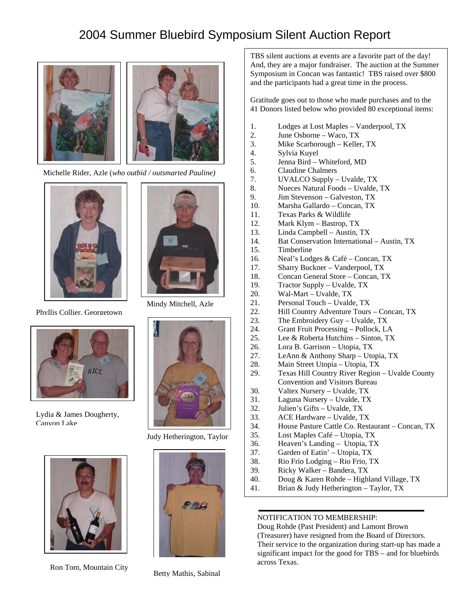# 2004 Summer Bluebird Symposium Silent Auction Report



Michelle Rider, Azle (*who outbid / outsmarted Pauline)*



Phyllis Collier, Georgetown



Lydia & James Dougherty, Canyon Lake



Mindy Mitchell, Azle



Judy Hetherington, Taylor



Ron Tom, Mountain City Betty Mathis, Sabinal



TBS silent auctions at events are a favorite part of the day! And, they are a major fundraiser. The auction at the Summer Symposium in Concan was fantastic! TBS raised over \$800 and the participants had a great time in the process.

Gratitude goes out to those who made purchases and to the 41 Donors listed below who provided 80 exceptional items:

- 1. Lodges at Lost Maples Vanderpool, TX
- 2. June Osborne Waco, TX
- 3. Mike Scarborough Keller, TX
- 4. Sylvia Kuyel
- 5. Jenna Bird Whiteford, MD
- 6. Claudine Chalmers
- 7. UVALCO Supply Uvalde, TX
- 8. Nueces Natural Foods Uvalde, TX
- 9. Jim Stevenson Galveston, TX
- 10. Marsha Gallardo Concan, TX
- 11. Texas Parks & Wildlife
- 12. Mark Klym Bastrop, TX
- 13. Linda Campbell Austin, TX
- 14. Bat Conservation International Austin, TX
- 15. Timberline
- 16. Neal's Lodges & Café Concan, TX
- 17. Sharry Buckner Vanderpool, TX
- 18. Concan General Store Concan, TX
- 19. Tractor Supply Uvalde, TX
- 20. Wal-Mart Uvalde, TX
- 21. Personal Touch Uvalde, TX
- 22. Hill Country Adventure Tours Concan, TX
- 23. The Embroidery Guy Uvalde, TX
- 24. Grant Fruit Processing Pollock, LA
- 25. Lee & Roberta Hutchins Sinton, TX
- 26. Lora B. Garrison Utopia, TX
- 27. LeAnn & Anthony Sharp Utopia, TX
- 28. Main Street Utopia Utopia, TX
- 29. Texas Hill Country River Region Uvalde County Convention and Visitors Bureau
- 30. Valtex Nursery Uvalde, TX
- 31. Laguna Nursery Uvalde, TX
- 32. Julien's Gifts Uvalde, TX
- 33. ACE Hardware Uvalde, TX
- 34. House Pasture Cattle Co. Restaurant Concan, TX
- 35. Lost Maples Café Utopia, TX
- 36. Heaven's Landing Utopia, TX
- 37. Garden of Eatin' Utopia, TX
- 38. Rio Frio Lodging Rio Frio, TX
- 39. Ricky Walker Bandera, TX
- 40. Doug & Karen Rohde Highland Village, TX
- 41. Brian & Judy Hetherington Taylor, TX

#### NOTIFICATION TO MEMBERSHIP:

Doug Rohde (Past President) and Lamont Brown (Treasurer) have resigned from the Board of Directors. Their service to the organization during start-up has made a significant impact for the good for TBS – and for bluebirds across Texas.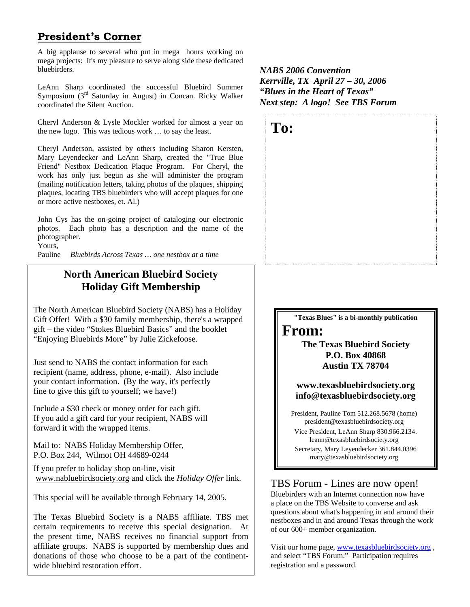## **President's Corner**

A big applause to several who put in mega hours working on mega projects: It's my pleasure to serve along side these dedicated bluebirders.

LeAnn Sharp coordinated the successful Bluebird Summer Symposium (3rd Saturday in August) in Concan. Ricky Walker coordinated the Silent Auction.

Cheryl Anderson & Lysle Mockler worked for almost a year on the new logo. This was tedious work … to say the least.

Cheryl Anderson, assisted by others including Sharon Kersten, Mary Leyendecker and LeAnn Sharp, created the "True Blue Friend" Nestbox Dedication Plaque Program. For Cheryl, the work has only just begun as she will administer the program (mailing notification letters, taking photos of the plaques, shipping plaques, locating TBS bluebirders who will accept plaques for one or more active nestboxes, et. Al.)

John Cys has the on-going project of cataloging our electronic photos. Each photo has a description and the name of the photographer.

Yours,

Pauline *Bluebirds Across Texas … one nestbox at a time*

## **North American Bluebird Society Holiday Gift Membership**

The North American Bluebird Society (NABS) has a Holiday Gift Offer! With a \$30 family membership, there's a wrapped gift – the video "Stokes Bluebird Basics" and the booklet "Enjoying Bluebirds More" by Julie Zickefoose.

Just send to NABS the contact information for each recipient (name, address, phone, e-mail). Also include your contact information. (By the way, it's perfectly fine to give this gift to yourself; we have!)

Include a \$30 check or money order for each gift. If you add a gift card for your recipient, NABS will forward it with the wrapped items.

Mail to: NABS Holiday Membership Offer, P.O. Box 244, Wilmot OH 44689-0244

If you prefer to holiday shop on-line, visit www.nabluebirdsociety.org and click the *Holiday Offer* link.

This special will be available through February 14, 2005.

The Texas Bluebird Society is a NABS affiliate. TBS met certain requirements to receive this special designation. At the present time, NABS receives no financial support from affiliate groups. NABS is supported by membership dues and donations of those who choose to be a part of the continentwide bluebird restoration effort.

*NABS 2006 Convention Kerrville, TX April 27 – 30, 2006 "Blues in the Heart of Texas" Next step: A logo! See TBS Forum*



**"Texas Blues" is a bi-monthly publication** 

## **From:**

**The Texas Bluebird Society P.O. Box 40868 Austin TX 78704** 

**www.texasbluebirdsociety.org info@texasbluebirdsociety.org** 

President, Pauline Tom 512.268.5678 (home) president@texasbluebirdsociety.org

Vice President, LeAnn Sharp 830.966.2134. leann@texasbluebirdsociety.org Secretary, Mary Leyendecker 361.844.0396 mary@texasbluebirdsociety.org

TBS Forum - Lines are now open!

Bluebirders with an Internet connection now have a place on the TBS Website to converse and ask questions about what's happening in and around their nestboxes and in and around Texas through the work of our 600+ member organization.

Visit our home page, www.texasbluebirdsociety.org , and select "TBS Forum." Participation requires registration and a password.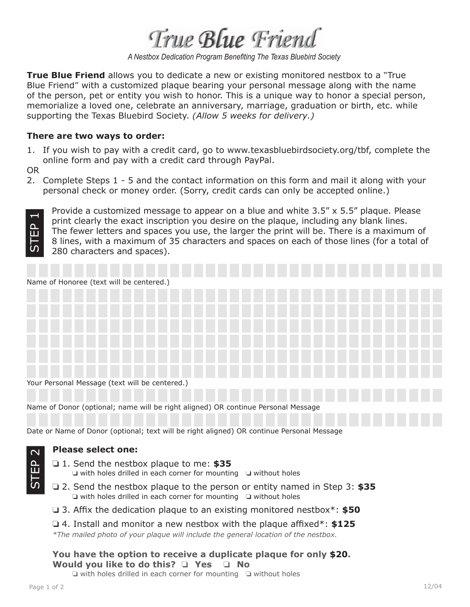True Blue Friend

*A Nestbox Dedication Program Benefiting The Texas Bluebird Society*

**True Blue Friend** allows you to dedicate a new or existing monitored nestbox to a "True Blue Friend" with a customized plaque bearing your personal message along with the name of the person, pet or entity you wish to honor. This is a unique way to honor a special person, memorialize a loved one, celebrate an anniversary, marriage, graduation or birth, etc. while supporting the Texas Bluebird Society. *(Allow 5 weeks for delivery.)*

#### **There are two ways to order:**

1. If you wish to pay with a credit card, go to www.texasbluebirdsociety.org/tbf, complete the online form and pay with a credit card through PayPal.

OR

2. Complete Steps 1 - 5 and the contact information on this form and mail it along with your personal check or money order. (Sorry, credit cards can only be accepted online.)



Provide a customized message to appear on a blue and white 3.5" x 5.5" plaque. Please print clearly the exact inscription you desire on the plaque, including any blank lines. The fewer letters and spaces you use, the larger the print will be. There is a maximum of 8 lines, with a maximum of 35 characters and spaces on each of those lines (for a total of 280 characters and spaces).

| Name of Honoree (text will be centered.)                                          |  |  |  |  |  |  |  |
|-----------------------------------------------------------------------------------|--|--|--|--|--|--|--|
|                                                                                   |  |  |  |  |  |  |  |
|                                                                                   |  |  |  |  |  |  |  |
|                                                                                   |  |  |  |  |  |  |  |
|                                                                                   |  |  |  |  |  |  |  |
|                                                                                   |  |  |  |  |  |  |  |
|                                                                                   |  |  |  |  |  |  |  |
| Your Personal Message (text will be centered.)                                    |  |  |  |  |  |  |  |
| Name of Donor (optional; name will be right aligned) OR continue Personal Message |  |  |  |  |  |  |  |

Date or Name of Donor (optional; text will be right aligned) OR continue Personal Message

#### **Please select one:**

- ❏ 1. Send the nestbox plaque to me: **\$35** ❏ with holes drilled in each corner for mounting ❏ without holes
- ❏ 2. Send the nestbox plaque to the person or entity named in Step 3: **\$35** ❏ with holes drilled in each corner for mounting ❏ without holes
- **□** 3. Affix the dedication plaque to an existing monitored nestbox<sup>\*</sup>: **\$50**

❏ 4. Install and monitor a new nestbox with the plaque affi xed\*: **\$125** *\*The mailed photo of your plaque will include the general location of the nestbox.*

#### **You have the option to receive a duplicate plaque for only \$20. Would you like to do this?** ❏ **Yes** ❏ **No**

❏ with holes drilled in each corner for mounting ❏ without holes

STEP 2